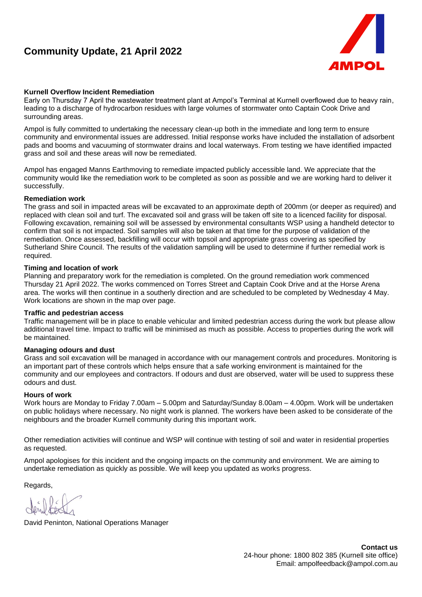# **Community Update, 21 April 2022**



## **Kurnell Overflow Incident Remediation**

Early on Thursday 7 April the wastewater treatment plant at Ampol's Terminal at Kurnell overflowed due to heavy rain, leading to a discharge of hydrocarbon residues with large volumes of stormwater onto Captain Cook Drive and surrounding areas.

Ampol is fully committed to undertaking the necessary clean-up both in the immediate and long term to ensure community and environmental issues are addressed. Initial response works have included the installation of adsorbent pads and booms and vacuuming of stormwater drains and local waterways. From testing we have identified impacted grass and soil and these areas will now be remediated.

Ampol has engaged Manns Earthmoving to remediate impacted publicly accessible land. We appreciate that the community would like the remediation work to be completed as soon as possible and we are working hard to deliver it successfully.

#### **Remediation work**

The grass and soil in impacted areas will be excavated to an approximate depth of 200mm (or deeper as required) and replaced with clean soil and turf. The excavated soil and grass will be taken off site to a licenced facility for disposal. Following excavation, remaining soil will be assessed by environmental consultants WSP using a handheld detector to confirm that soil is not impacted. Soil samples will also be taken at that time for the purpose of validation of the remediation. Once assessed, backfilling will occur with topsoil and appropriate grass covering as specified by Sutherland Shire Council. The results of the validation sampling will be used to determine if further remedial work is required.

#### **Timing and location of work**

Planning and preparatory work for the remediation is completed. On the ground remediation work commenced Thursday 21 April 2022. The works commenced on Torres Street and Captain Cook Drive and at the Horse Arena area. The works will then continue in a southerly direction and are scheduled to be completed by Wednesday 4 May. Work locations are shown in the map over page.

#### **Traffic and pedestrian access**

Traffic management will be in place to enable vehicular and limited pedestrian access during the work but please allow additional travel time. Impact to traffic will be minimised as much as possible. Access to properties during the work will be maintained.

#### **Managing odours and dust**

Grass and soil excavation will be managed in accordance with our management controls and procedures. Monitoring is an important part of these controls which helps ensure that a safe working environment is maintained for the community and our employees and contractors. If odours and dust are observed, water will be used to suppress these odours and dust.

## **Hours of work**

Work hours are Monday to Friday 7.00am – 5.00pm and Saturday/Sunday 8.00am – 4.00pm. Work will be undertaken on public holidays where necessary. No night work is planned. The workers have been asked to be considerate of the neighbours and the broader Kurnell community during this important work.

Other remediation activities will continue and WSP will continue with testing of soil and water in residential properties as requested.

Ampol apologises for this incident and the ongoing impacts on the community and environment. We are aiming to undertake remediation as quickly as possible. We will keep you updated as works progress.

Regards,

David Peninton, National Operations Manager